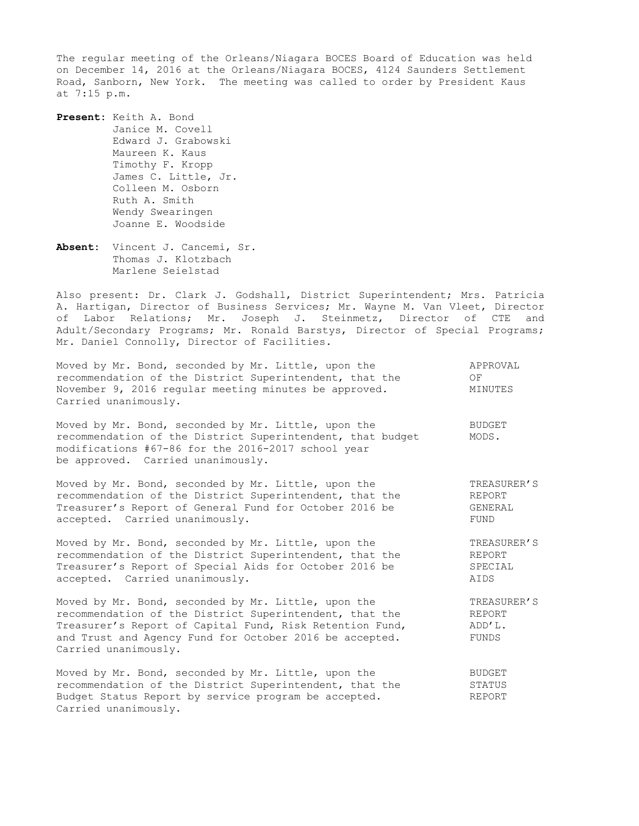The regular meeting of the Orleans/Niagara BOCES Board of Education was held on December 14, 2016 at the Orleans/Niagara BOCES, 4124 Saunders Settlement Road, Sanborn, New York. The meeting was called to order by President Kaus at 7:15 p.m.

**Present:** Keith A. Bond Janice M. Covell Edward J. Grabowski Maureen K. Kaus Timothy F. Kropp James C. Little, Jr. Colleen M. Osborn Ruth A. Smith Wendy Swearingen Joanne E. Woodside

**Absent:** Vincent J. Cancemi, Sr. Thomas J. Klotzbach Marlene Seielstad

Carried unanimously.

Also present: Dr. Clark J. Godshall, District Superintendent; Mrs. Patricia A. Hartigan, Director of Business Services; Mr. Wayne M. Van Vleet, Director of Labor Relations; Mr. Joseph J. Steinmetz, Director of CTE and Adult/Secondary Programs; Mr. Ronald Barstys, Director of Special Programs; Mr. Daniel Connolly, Director of Facilities.

| Moved by Mr. Bond, seconded by Mr. Little, upon the<br>recommendation of the District Superintendent, that the<br>November 9, 2016 reqular meeting minutes be approved.<br>Carried unanimously.                                                               | APPROVAL<br>OF<br>MINUTES                |
|---------------------------------------------------------------------------------------------------------------------------------------------------------------------------------------------------------------------------------------------------------------|------------------------------------------|
| Moved by Mr. Bond, seconded by Mr. Little, upon the<br>recommendation of the District Superintendent, that budget<br>modifications #67-86 for the 2016-2017 school year<br>be approved. Carried unanimously.                                                  | <b>BUDGET</b><br>MODS.                   |
| Moved by Mr. Bond, seconded by Mr. Little, upon the                                                                                                                                                                                                           | TREASURER'S                              |
| recommendation of the District Superintendent, that the                                                                                                                                                                                                       | REPORT                                   |
| Treasurer's Report of General Fund for October 2016 be                                                                                                                                                                                                        | GENERAL                                  |
| accepted. Carried unanimously.                                                                                                                                                                                                                                | FUND                                     |
| Moved by Mr. Bond, seconded by Mr. Little, upon the                                                                                                                                                                                                           | TREASURER'S                              |
| recommendation of the District Superintendent, that the                                                                                                                                                                                                       | REPORT                                   |
| Treasurer's Report of Special Aids for October 2016 be                                                                                                                                                                                                        | SPECIAL                                  |
| accepted. Carried unanimously.                                                                                                                                                                                                                                | AIDS                                     |
| Moved by Mr. Bond, seconded by Mr. Little, upon the<br>recommendation of the District Superintendent, that the<br>Treasurer's Report of Capital Fund, Risk Retention Fund,<br>and Trust and Agency Fund for October 2016 be accepted.<br>Carried unanimously. | TREASURER'S<br>REPORT<br>ADD'L.<br>FUNDS |
| Moved by Mr. Bond, seconded by Mr. Little, upon the                                                                                                                                                                                                           | <b>BUDGET</b>                            |
| recommendation of the District Superintendent, that the                                                                                                                                                                                                       | STATUS                                   |
| Budget Status Report by service program be accepted.                                                                                                                                                                                                          | <b>REPORT</b>                            |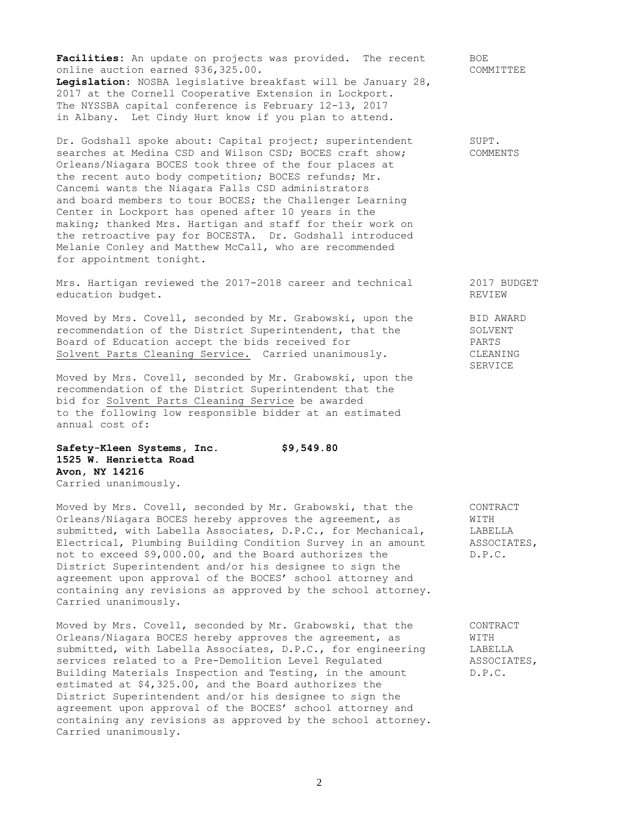Facilities: An update on projects was provided. The recent BOE online auction earned \$36,325.00. COMMITTEE **Legislation:** NOSBA legislative breakfast will be January 28, 2017 at the Cornell Cooperative Extension in Lockport. The NYSSBA capital conference is February 12-13, 2017 in Albany. Let Cindy Hurt know if you plan to attend.

Dr. Godshall spoke about: Capital project; superintendent SUPT. searches at Medina CSD and Wilson CSD; BOCES craft show; COMMENTS Orleans/Niagara BOCES took three of the four places at the recent auto body competition; BOCES refunds; Mr. Cancemi wants the Niagara Falls CSD administrators and board members to tour BOCES; the Challenger Learning Center in Lockport has opened after 10 years in the making; thanked Mrs. Hartigan and staff for their work on the retroactive pay for BOCESTA. Dr. Godshall introduced Melanie Conley and Matthew McCall, who are recommended for appointment tonight.

Mrs. Hartigan reviewed the 2017-2018 career and technical 2017 BUDGET education budget. The contraction of the contraction of the contraction of the contraction of the contraction of the contraction of the contraction of the contraction of the contraction of the contraction of the contractio

Moved by Mrs. Covell, seconded by Mr. Grabowski, upon the BID AWARD recommendation of the District Superintendent, that the SOLVENT Board of Education accept the bids received for PARTS Solvent Parts Cleaning Service. Carried unanimously. CLEANING

Moved by Mrs. Covell, seconded by Mr. Grabowski, upon the recommendation of the District Superintendent that the bid for Solvent Parts Cleaning Service be awarded to the following low responsible bidder at an estimated annual cost of:

**Safety-Kleen Systems, Inc. \$9,549.80 1525 W. Henrietta Road Avon, NY 14216** Carried unanimously.

Moved by Mrs. Covell, seconded by Mr. Grabowski, that the CONTRACT Orleans/Niagara BOCES hereby approves the agreement, as WITH submitted, with Labella Associates, D.P.C., for Mechanical, LABELLA Electrical, Plumbing Building Condition Survey in an amount ASSOCIATES, not to exceed \$9,000.00, and the Board authorizes the D.P.C. District Superintendent and/or his designee to sign the agreement upon approval of the BOCES' school attorney and containing any revisions as approved by the school attorney. Carried unanimously.

Moved by Mrs. Covell, seconded by Mr. Grabowski, that the CONTRACT Orleans/Niagara BOCES hereby approves the agreement, as WITH submitted, with Labella Associates, D.P.C., for engineering LABELLA<br>services related to a Pre-Demolition Level Requlated ASSOCIATES. services related to a Pre-Demolition Level Requlated Building Materials Inspection and Testing, in the amount D.P.C. estimated at \$4,325.00, and the Board authorizes the District Superintendent and/or his designee to sign the agreement upon approval of the BOCES' school attorney and containing any revisions as approved by the school attorney. Carried unanimously.

SERVICE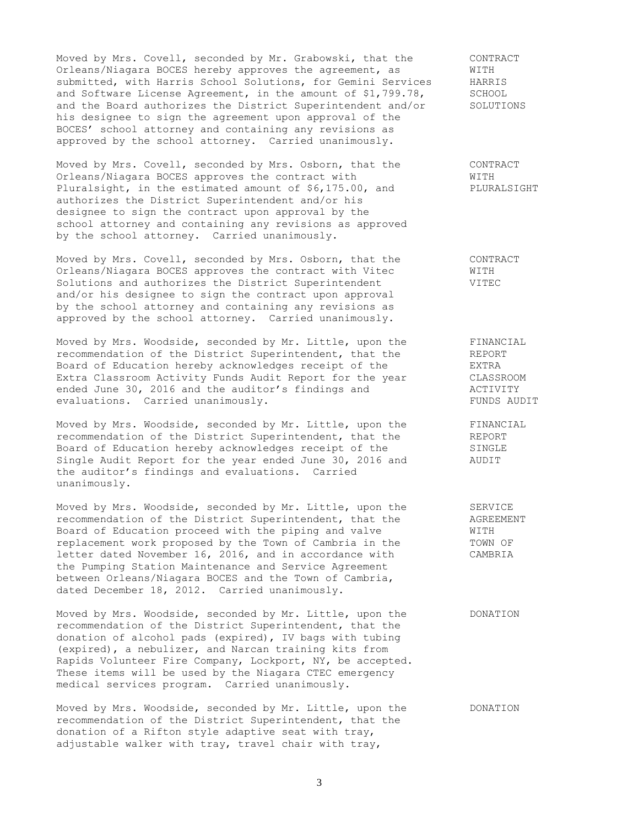Moved by Mrs. Covell, seconded by Mr. Grabowski, that the CONTRACT<br>Orleans/Niagara BOCES hereby approves the agreement, as WITH Orleans/Niagara BOCES hereby approves the agreement, as WITH<br>submitted, with Harris School Solutions, for Gemini Services HARRIS<br>and Software License Agreement, in the amount of \$1,799.78, SCHOOL submitted, with Harris School Solutions, for Gemini Services and Software License Agreement, in the amount of \$1,799.78, SCHOOL<br>and the Board authorizes the District Superintendent and/or SOLUTIONS and the Board authorizes the District Superintendent and/or his designee to sign the agreement upon approval of the BOCES' school attorney and containing any revisions as approved by the school attorney. Carried unanimously.

Moved by Mrs. Covell, seconded by Mrs. Osborn, that the CONTRACT Orleans/Niagara BOCES approves the contract with  $\texttt{WITH}$ Pluralsight, in the estimated amount of \$6,175.00, and PLURALSIGHT authorizes the District Superintendent and/or his designee to sign the contract upon approval by the school attorney and containing any revisions as approved by the school attorney. Carried unanimously.

Moved by Mrs. Covell, seconded by Mrs. Osborn, that the CONTRACT Orleans/Niagara BOCES approves the contract with Vitec WITH Solutions and authorizes the District Superintendent VITEC and/or his designee to sign the contract upon approval by the school attorney and containing any revisions as approved by the school attorney. Carried unanimously.

Moved by Mrs. Woodside, seconded by Mr. Little, upon the FINANCIAL recommendation of the District Superintendent, that the REPORT Board of Education hereby acknowledges receipt of the **EXTRA** Extra Classroom Activity Funds Audit Report for the year CLASSROOM ended June 30, 2016 and the auditor's findings and MCTIVITY evaluations. Carried unanimously. The set of the control of the control of the control of the control of the control of the control of the control of the control of the control of the control of the control of the control

Moved by Mrs. Woodside, seconded by Mr. Little, upon the FINANCIAL recommendation of the District Superintendent, that the REPORT Board of Education hereby acknowledges receipt of the SINGLE Single Audit Report for the year ended June 30, 2016 and AUDIT the auditor's findings and evaluations. Carried unanimously.

Moved by Mrs. Woodside, seconded by Mr. Little, upon the SERVICE recommendation of the District Superintendent, that the AGREEMENT  $r = \frac{1}{2}$  recommendation of the District Superintendent, that the Board of Education proceed with the piping and valve WITH replacement work proposed by the Town of Cambria in the TOWN OF letter dated November 16, 2016, and in accordance with CAMBRIA the Pumping Station Maintenance and Service Agreement between Orleans/Niagara BOCES and the Town of Cambria, dated December 18, 2012. Carried unanimously.

Moved by Mrs. Woodside, seconded by Mr. Little, upon the DONATION recommendation of the District Superintendent, that the donation of alcohol pads (expired), IV bags with tubing (expired), a nebulizer, and Narcan training kits from Rapids Volunteer Fire Company, Lockport, NY, be accepted. These items will be used by the Niagara CTEC emergency medical services program. Carried unanimously.

Moved by Mrs. Woodside, seconded by Mr. Little, upon the DONATION recommendation of the District Superintendent, that the donation of a Rifton style adaptive seat with tray, adjustable walker with tray, travel chair with tray,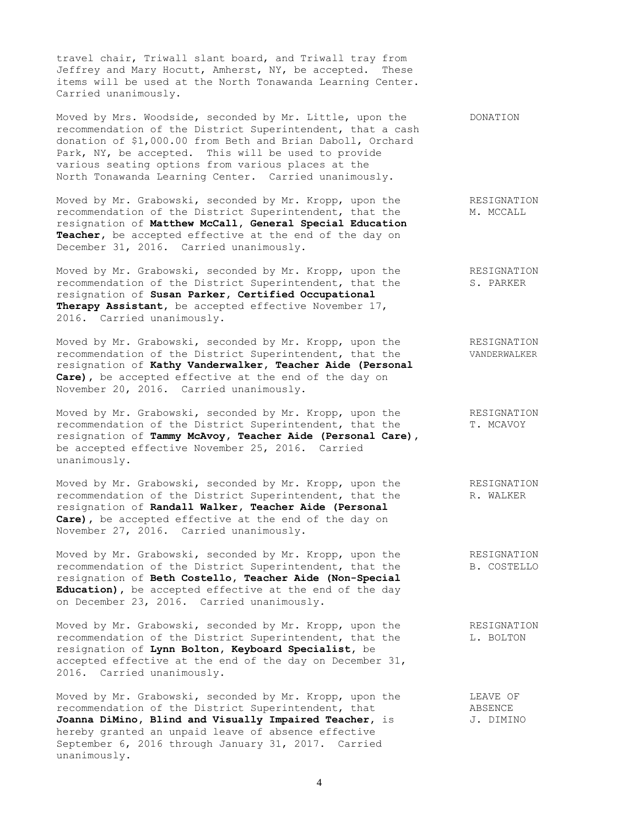travel chair, Triwall slant board, and Triwall tray from Jeffrey and Mary Hocutt, Amherst, NY, be accepted. These items will be used at the North Tonawanda Learning Center. Carried unanimously.

Moved by Mrs. Woodside, seconded by Mr. Little, upon the DONATION recommendation of the District Superintendent, that a cash donation of \$1,000.00 from Beth and Brian Daboll, Orchard Park, NY, be accepted. This will be used to provide various seating options from various places at the North Tonawanda Learning Center. Carried unanimously.

Moved by Mr. Grabowski, seconded by Mr. Kropp, upon the RESIGNATION recommendation of the District Superintendent, that the M. MCCALL resignation of **Matthew McCall, General Special Education** Teacher, be accepted effective at the end of the day on December 31, 2016. Carried unanimously.

Moved by Mr. Grabowski, seconded by Mr. Kropp, upon the RESIGNATION recommendation of the District Superintendent, that the S. PARKER resignation of **Susan Parker, Certified Occupational Therapy Assistant,** be accepted effective November 17, 2016. Carried unanimously.

Moved by Mr. Grabowski, seconded by Mr. Kropp, upon the RESIGNATION recommendation of the District Superintendent, that the VANDERWALKER resignation of **Kathy Vanderwalker, Teacher Aide (Personal Care),** be accepted effective at the end of the day on November 20, 2016. Carried unanimously.

Moved by Mr. Grabowski, seconded by Mr. Kropp, upon the RESIGNATION recommendation of the District Superintendent, that the T. MCAVOY resignation of **Tammy McAvoy, Teacher Aide (Personal Care),** be accepted effective November 25, 2016. Carried unanimously.

Moved by Mr. Grabowski, seconded by Mr. Kropp, upon the RESIGNATION recommendation of the District Superintendent, that the R. WALKER resignation of **Randall Walker, Teacher Aide (Personal Care),** be accepted effective at the end of the day on November 27, 2016. Carried unanimously.

Moved by Mr. Grabowski, seconded by Mr. Kropp, upon the RESIGNATION<br>recommendation of the District Superintendent, that the B. COSTELLO recommendation of the District Superintendent, that the resignation of **Beth Costello, Teacher Aide (Non-Special Education),** be accepted effective at the end of the day on December 23, 2016. Carried unanimously.

Moved by Mr. Grabowski, seconded by Mr. Kropp, upon the RESIGNATION recommendation of the District Superintendent, that the L. BOLTON resignation of **Lynn Bolton, Keyboard Specialist,** be accepted effective at the end of the day on December 31, 2016. Carried unanimously.

Moved by Mr. Grabowski, seconded by Mr. Kropp, upon the CEAVE OF recommendation of the District Superintendent. that recommendation of the District Superintendent, that ABSENCE<br> **Joanna DiMino, Blind and Visually Impaired Teacher**, is J. DIMINO **Joanna DiMino, Blind and Visually Impaired Teacher,** is hereby granted an unpaid leave of absence effective September 6, 2016 through January 31, 2017. Carried unanimously.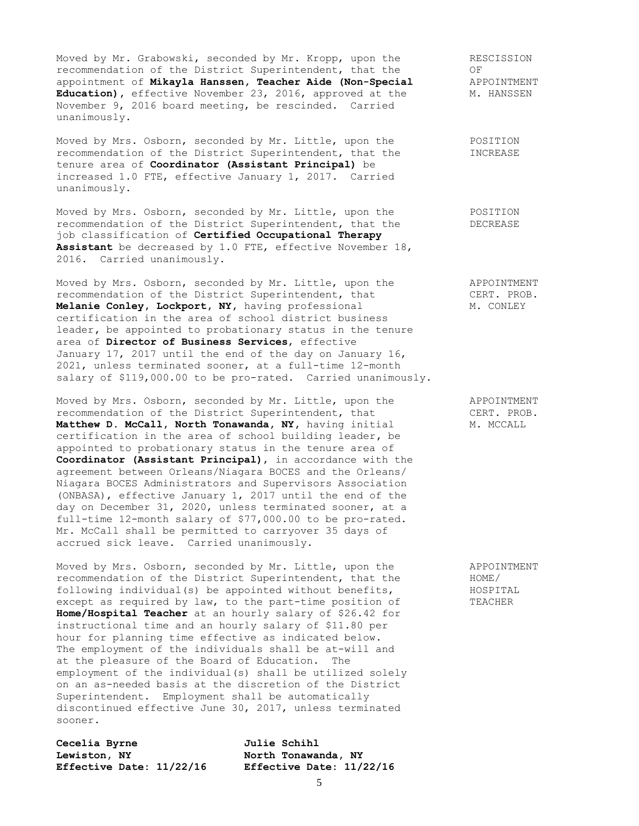Moved by Mr. Grabowski, seconded by Mr. Kropp, upon the RESCISSION<br>recommendation of the District Superintendent, that the OF<br>appointment of **Mikayla Hanssen, Teacher Aide (Non-Special** APPOINTMENT<br>Natural Mr. HANSSEN recommendation of the District Superintendent, that the appointment of Mikayla Hanssen, Teacher Aide (Non-Special Education), effective November 23, 2016, approved at the November 9, 2016 board meeting, be rescinded. Carried unanimously.

Moved by Mrs. Osborn, seconded by Mr. Little, upon the POSITION recommendation of the District Superintendent, that the INCREASE tenure area of **Coordinator (Assistant Principal)** be increased 1.0 FTE, effective January 1, 2017. Carried unanimously.

Moved by Mrs. Osborn, seconded by Mr. Little, upon the POSITION recommendation of the District Superintendent, that the DECREASE job classification of **Certified Occupational Therapy Assistant** be decreased by 1.0 FTE, effective November 18, 2016. Carried unanimously.

Moved by Mrs. Osborn, seconded by Mr. Little, upon the APPOINTMENT recommendation of the District Superintendent, that CERT. PROB. **Melanie Conley, Lockport, NY, having professional M. CONLEY** certification in the area of school district business leader**,** be appointed to probationary status in the tenure area of **Director of Business Services**, effective January 17, 2017 until the end of the day on January 16, 2021, unless terminated sooner, at a full-time 12-month salary of \$119,000.00 to be pro-rated. Carried unanimously.

Moved by Mrs. Osborn, seconded by Mr. Little, upon the APPOINTMENT<br>recommendation of the District Superintendent, that CERT. PROB.<br>**Matthew D. McCall, North Tonawanda, NY**, having initial M. MCCALL recommendation of the District Superintendent, that Matthew D. McCall, North Tonawanda, NY, having initial certification in the area of school building leader**,** be appointed to probationary status in the tenure area of **Coordinator (Assistant Principal)**, in accordance with the agreement between Orleans/Niagara BOCES and the Orleans/ Niagara BOCES Administrators and Supervisors Association (ONBASA), effective January 1, 2017 until the end of the day on December 31, 2020, unless terminated sooner, at a full-time 12-month salary of \$77,000.00 to be pro-rated. Mr. McCall shall be permitted to carryover 35 days of accrued sick leave. Carried unanimously.

Moved by Mrs. Osborn, seconded by Mr. Little, upon the APPOINTMENT<br>recommendation of the District Superintendent, that the HOME/<br>following individual(s) be appointed without benefits, HOSPITAL recommendation of the District Superintendent, that the following individual(s) be appointed without benefits, except as required by law, to the part-time position of TEACHER **Home/Hospital Teacher** at an hourly salary of \$26.42 for instructional time and an hourly salary of \$11.80 per hour for planning time effective as indicated below. The employment of the individuals shall be at-will and at the pleasure of the Board of Education. The employment of the individual(s) shall be utilized solely on an as-needed basis at the discretion of the District Superintendent. Employment shall be automatically discontinued effective June 30, 2017, unless terminated sooner.

**Cecelia Byrne Julie Schihl Lewiston, NY North Tonawanda, NY**

**Effective Date: 11/22/16 Effective Date: 11/22/16**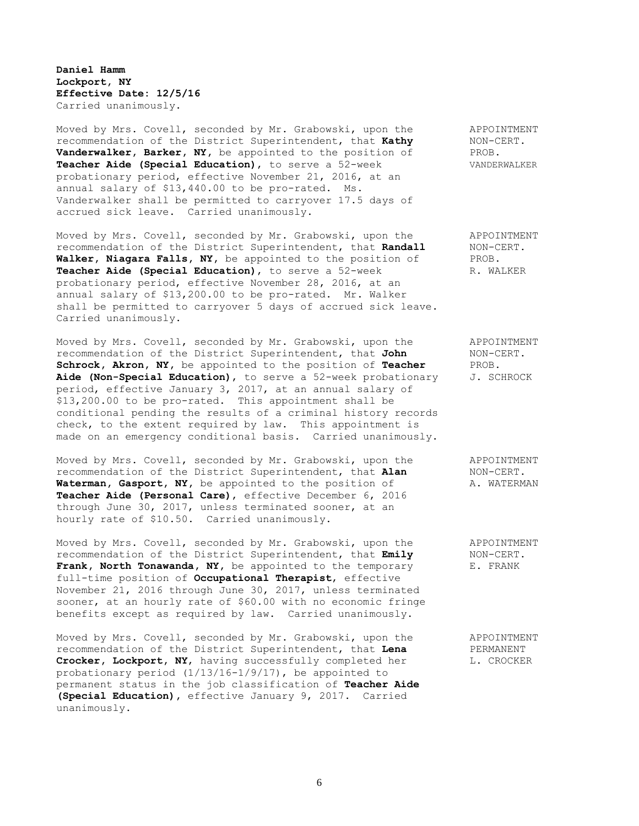**Daniel Hamm Lockport, NY Effective Date: 12/5/16** Carried unanimously.

Moved by Mrs. Covell, seconded by Mr. Grabowski, upon the APPOINTMENT recommendation of the District Superintendent, that **Kathy** NON-CERT. **Vanderwalker, Barker, NY,** be appointed to the position of PROB. **Teacher Aide (Special Education),** to serve a 52-week VANDERWALKER probationary period, effective November 21, 2016, at an annual salary of \$13,440.00 to be pro-rated. Ms. Vanderwalker shall be permitted to carryover 17.5 days of accrued sick leave. Carried unanimously.

Moved by Mrs. Covell, seconded by Mr. Grabowski, upon the APPOINTMENT recommendation of the District Superintendent, that **Randall** NON-CERT. **Walker, Niagara Falls, NY,** be appointed to the position of PROB. **Teacher Aide (Special Education),** to serve a 52-week R. WALKER probationary period, effective November 28, 2016, at an annual salary of \$13,200.00 to be pro-rated. Mr. Walker shall be permitted to carryover 5 days of accrued sick leave. Carried unanimously.

Moved by Mrs. Covell, seconded by Mr. Grabowski, upon the APPOINTMENT recommendation of the District Superintendent, that **John** NON-CERT. **Schrock, Akron, NY,** be appointed to the position of **Teacher** PROB. Aide (Non-Special Education), to serve a 52-week probationary J. SCHROCK period, effective January 3, 2017, at an annual salary of \$13,200.00 to be pro-rated. This appointment shall be conditional pending the results of a criminal history records check, to the extent required by law. This appointment is made on an emergency conditional basis. Carried unanimously.

Moved by Mrs. Covell, seconded by Mr. Grabowski, upon the APPOINTMENT recommendation of the District Superintendent, that **Alan** NON-CERT. Waterman, Gasport, NY, be appointed to the position of A. WATERMAN **Teacher Aide (Personal Care)**, effective December 6, 2016 through June 30, 2017, unless terminated sooner, at an hourly rate of \$10.50. Carried unanimously.

Moved by Mrs. Covell, seconded by Mr. Grabowski, upon the APPOINTMENT recommendation of the District Superintendent, that **Emily** NON-CERT. Frank, North Tonawanda, NY, be appointed to the temporary E. FRANK full-time position of **Occupational Therapist**, effective November 21, 2016 through June 30, 2017, unless terminated sooner, at an hourly rate of \$60.00 with no economic fringe benefits except as required by law. Carried unanimously.

Moved by Mrs. Covell, seconded by Mr. Grabowski, upon the APPOINTMENT recommendation of the District Superintendent, that **Lena** PERMANENT Crocker, Lockport, NY, having successfully completed her L. CROCKER probationary period (1/13/16-1/9/17), be appointed to permanent status in the job classification of **Teacher Aide (Special Education),** effective January 9, 2017. Carried unanimously.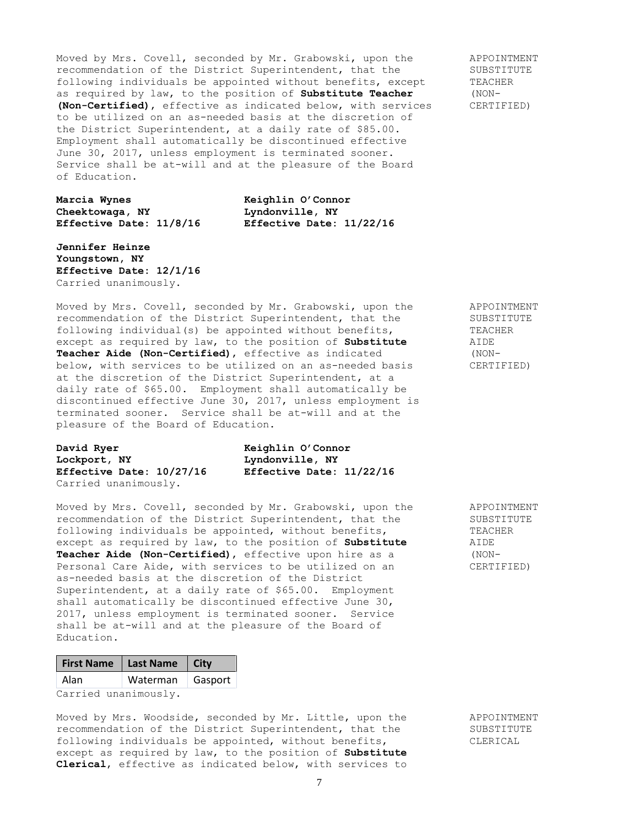Moved by Mrs. Covell, seconded by Mr. Grabowski, upon the APPOINTMENT recommendation of the District Superintendent, that the SUBSTITUTE<br>following individuals be appointed without benefits, except TEACHER following individuals be appointed without benefits, except as required by law, to the position of **Substitute Teacher** (NON- **(Non-Certified)**, effective as indicated below, with services CERTIFIED) to be utilized on an as-needed basis at the discretion of the District Superintendent, at a daily rate of \$85.00. Employment shall automatically be discontinued effective June 30, 2017, unless employment is terminated sooner. Service shall be at-will and at the pleasure of the Board of Education.

**Cheektowaga, NY Lyndonville, NY**

**Marcia Wynes Keighlin O'Connor Effective Date: 11/8/16 Effective Date: 11/22/16**

**Jennifer Heinze Youngstown, NY Effective Date: 12/1/16** Carried unanimously.

Moved by Mrs. Covell, seconded by Mr. Grabowski, upon the APPOINTMENT recommendation of the District Superintendent, that the SUBSTITUTE following individual(s) be appointed without benefits, TEACHER<br>except as required by law, to the position of **Substitute** AIDE except as required by law, to the position of **Substitute Teacher Aide (Non-Certified)**, effective as indicated (NONbelow, with services to be utilized on an as-needed basis CERTIFIED) at the discretion of the District Superintendent, at a daily rate of \$65.00. Employment shall automatically be discontinued effective June 30, 2017, unless employment is terminated sooner. Service shall be at-will and at the pleasure of the Board of Education.

**David Ryer Keighlin O'Connor Lockport, NY Lyndonville, NY** Carried unanimously.

**Effective Date: 10/27/16 Effective Date: 11/22/16**

Moved by Mrs. Covell, seconded by Mr. Grabowski, upon the APPOINTMENT recommendation of the District Superintendent, that the SUBSTITUTE following individuals be appointed, without benefits, TEACHER except as required by law, to the position of **Substitute** AIDE **Teacher Aide (Non-Certified)**, effective upon hire as a (NON-<br>Personal Care Aide, with services to be utilized on an (CERTIFIED) Personal Care Aide, with services to be utilized on an as-needed basis at the discretion of the District Superintendent, at a daily rate of \$65.00. Employment shall automatically be discontinued effective June 30, 2017, unless employment is terminated sooner. Service shall be at-will and at the pleasure of the Board of Education.

| First Name   Last Name   City |                    |  |
|-------------------------------|--------------------|--|
| Alan                          | Waterman   Gasport |  |
| Carried unanimously.          |                    |  |

Moved by Mrs. Woodside, seconded by Mr. Little, upon the APPOINTMENT recommendation of the District Superintendent, that the SUBSTITUTE following individuals be appointed, without benefits, CLERICAL except as required by law, to the position of **Substitute Clerical**, effective as indicated below, with services to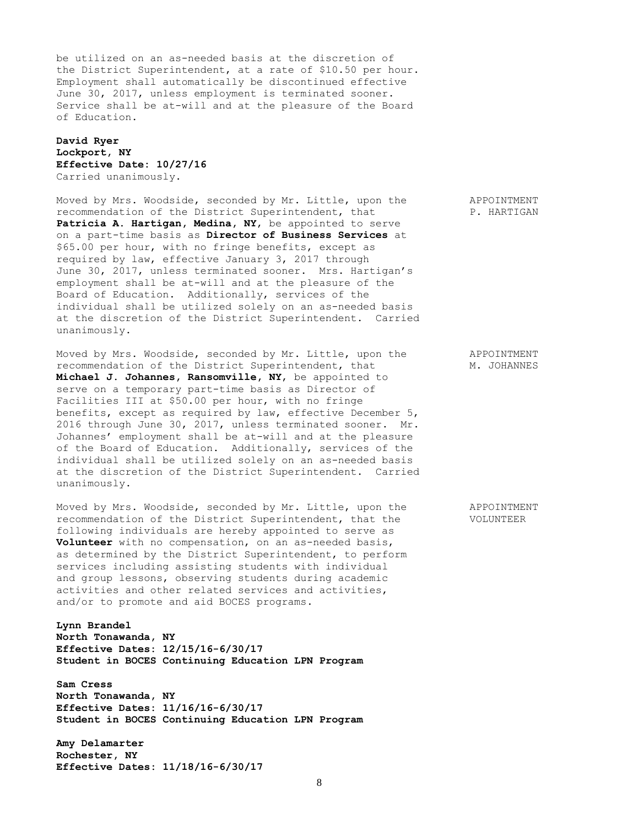be utilized on an as-needed basis at the discretion of the District Superintendent, at a rate of \$10.50 per hour. Employment shall automatically be discontinued effective June 30, 2017, unless employment is terminated sooner. Service shall be at-will and at the pleasure of the Board of Education.

## **David Ryer Lockport, NY Effective Date: 10/27/16** Carried unanimously.

Moved by Mrs. Woodside, seconded by Mr. Little, upon the APPOINTMENT recommendation of the District Superintendent, that P. HARTIGAN Patricia A. Hartigan, Medina, NY, be appointed to serve on a part-time basis as **Director of Business Services** at \$65.00 per hour, with no fringe benefits, except as required by law, effective January 3, 2017 through June 30, 2017, unless terminated sooner. Mrs. Hartigan's employment shall be at-will and at the pleasure of the Board of Education. Additionally, services of the individual shall be utilized solely on an as-needed basis at the discretion of the District Superintendent. Carried unanimously.

Moved by Mrs. Woodside, seconded by Mr. Little, upon the APPOINTMENT recommendation of the District Superintendent, that M. JOHANNES **Michael J. Johannes, Ransomville, NY**, be appointed to serve on a temporary part-time basis as Director of Facilities III at \$50.00 per hour, with no fringe benefits, except as required by law, effective December 5, 2016 through June 30, 2017, unless terminated sooner. Mr. Johannes' employment shall be at-will and at the pleasure of the Board of Education. Additionally, services of the individual shall be utilized solely on an as-needed basis at the discretion of the District Superintendent. Carried unanimously.

Moved by Mrs. Woodside, seconded by Mr. Little, upon the APPOINTMENT recommendation of the District Superintendent, that the VOLUNTEER following individuals are hereby appointed to serve as **Volunteer** with no compensation, on an as-needed basis, as determined by the District Superintendent, to perform services including assisting students with individual and group lessons, observing students during academic activities and other related services and activities, and/or to promote and aid BOCES programs.

**Lynn Brandel North Tonawanda, NY Effective Dates: 12/15/16-6/30/17 Student in BOCES Continuing Education LPN Program**

**Sam Cress North Tonawanda, NY Effective Dates: 11/16/16-6/30/17 Student in BOCES Continuing Education LPN Program**

**Amy Delamarter Rochester, NY Effective Dates: 11/18/16-6/30/17**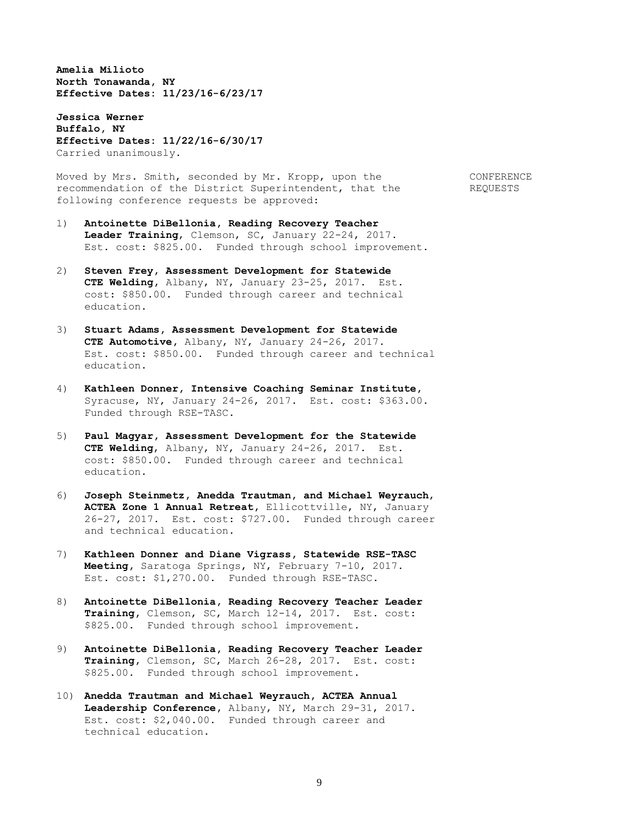**Amelia Milioto North Tonawanda, NY Effective Dates: 11/23/16-6/23/17**

**Jessica Werner Buffalo, NY Effective Dates: 11/22/16-6/30/17** Carried unanimously.

Moved by Mrs. Smith, seconded by Mr. Kropp, upon the CONFERENCE recommendation of the District Superintendent, that the REQUESTS following conference requests be approved:

- 1) **Antoinette DiBellonia, Reading Recovery Teacher Leader Training**, Clemson, SC, January 22-24, 2017. Est. cost: \$825.00. Funded through school improvement.
- 2) **Steven Frey, Assessment Development for Statewide CTE Welding,** Albany, NY, January 23-25, 2017. Est. cost: \$850.00. Funded through career and technical education.
- 3) **Stuart Adams, Assessment Development for Statewide CTE Automotive,** Albany, NY, January 24-26, 2017. Est. cost: \$850.00. Funded through career and technical education.
- 4) **Kathleen Donner, Intensive Coaching Seminar Institute,** Syracuse, NY, January 24-26, 2017. Est. cost: \$363.00. Funded through RSE-TASC.
- 5) **Paul Magyar, Assessment Development for the Statewide CTE Welding**, Albany, NY, January 24-26, 2017. Est. cost: \$850.00. Funded through career and technical education.
- 6) **Joseph Steinmetz, Anedda Trautman, and Michael Weyrauch**, **ACTEA Zone 1 Annual Retreat,** Ellicottville, NY, January 26-27, 2017. Est. cost: \$727.00. Funded through career and technical education.
- 7) **Kathleen Donner and Diane Vigrass, Statewide RSE-TASC Meeting,** Saratoga Springs, NY, February 7-10, 2017. Est. cost: \$1,270.00. Funded through RSE-TASC.
- 8) **Antoinette DiBellonia, Reading Recovery Teacher Leader Training,** Clemson, SC, March 12-14, 2017. Est. cost: \$825.00. Funded through school improvement.
- 9) **Antoinette DiBellonia, Reading Recovery Teacher Leader Training,** Clemson, SC, March 26-28, 2017. Est. cost: \$825.00. Funded through school improvement.
- 10) **Anedda Trautman and Michael Weyrauch, ACTEA Annual Leadership Conference,** Albany, NY, March 29-31, 2017. Est. cost: \$2,040.00. Funded through career and technical education.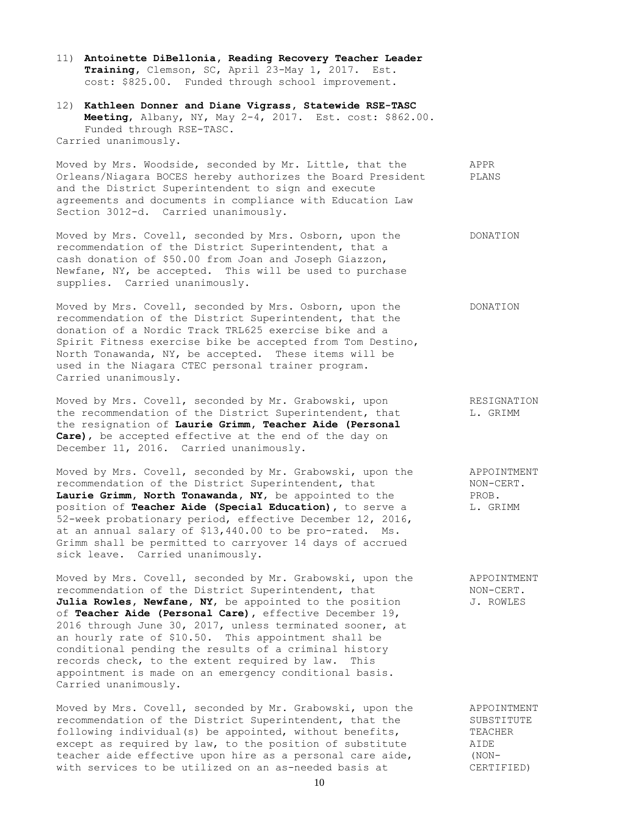11) **Antoinette DiBellonia, Reading Recovery Teacher Leader Training,** Clemson, SC, April 23-May 1, 2017. Est. cost: \$825.00. Funded through school improvement.

12) **Kathleen Donner and Diane Vigrass, Statewide RSE-TASC Meeting**, Albany, NY, May 2-4, 2017. Est. cost: \$862.00. Funded through RSE-TASC. Carried unanimously.

Moved by Mrs. Woodside, seconded by Mr. Little, that the APPR Orleans/Niagara BOCES hereby authorizes the Board President PLANS and the District Superintendent to sign and execute agreements and documents in compliance with Education Law Section 3012-d. Carried unanimously.

Moved by Mrs. Covell, seconded by Mrs. Osborn, upon the DONATION recommendation of the District Superintendent, that a cash donation of \$50.00 from Joan and Joseph Giazzon, Newfane, NY, be accepted. This will be used to purchase supplies. Carried unanimously.

Moved by Mrs. Covell, seconded by Mrs. Osborn, upon the DONATION recommendation of the District Superintendent, that the donation of a Nordic Track TRL625 exercise bike and a Spirit Fitness exercise bike be accepted from Tom Destino, North Tonawanda, NY, be accepted. These items will be used in the Niagara CTEC personal trainer program. Carried unanimously.

Moved by Mrs. Covell, seconded by Mr. Grabowski, upon RESIGNATION the recommendation of the District Superintendent, that  $L.$  GRIMM the resignation of **Laurie Grimm, Teacher Aide (Personal Care)**, be accepted effective at the end of the day on December 11, 2016. Carried unanimously.

Moved by Mrs. Covell, seconded by Mr. Grabowski, upon the APPOINTMENT recommendation of the District Superintendent, that MON-CERT.<br> **Laurie Grimm, North Tonawanda, NY,** be appointed to the RROB. Laurie Grimm, North Tonawanda, NY, be appointed to the position of **Teacher Aide (Special Education)**, to serve a  $L$ . GRIMM 52-week probationary period, effective December 12, 2016, at an annual salary of \$13,440.00 to be pro-rated. Ms. Grimm shall be permitted to carryover 14 days of accrued sick leave. Carried unanimously.

Moved by Mrs. Covell, seconded by Mr. Grabowski, upon the APPOINTMENT recommendation of the District Superintendent, that NON-CERT. Julia Rowles, Newfane, NY, be appointed to the position J. ROWLES of **Teacher Aide (Personal Care),** effective December 19, 2016 through June 30, 2017, unless terminated sooner, at an hourly rate of \$10.50. This appointment shall be conditional pending the results of a criminal history records check, to the extent required by law. This appointment is made on an emergency conditional basis. Carried unanimously.

Moved by Mrs. Covell, seconded by Mr. Grabowski, upon the APPOINTMENT recommendation of the District Superintendent, that the SUBSTITUTE following individual(s) be appointed, without benefits, TEACHER except as required by law, to the position of substitute AIDE<br>teacher aide effective upon hire as a personal care aide, (NONteacher aide effective upon hire as a personal care aide, (NONwith services to be utilized on an as-needed basis at CERTIFIED)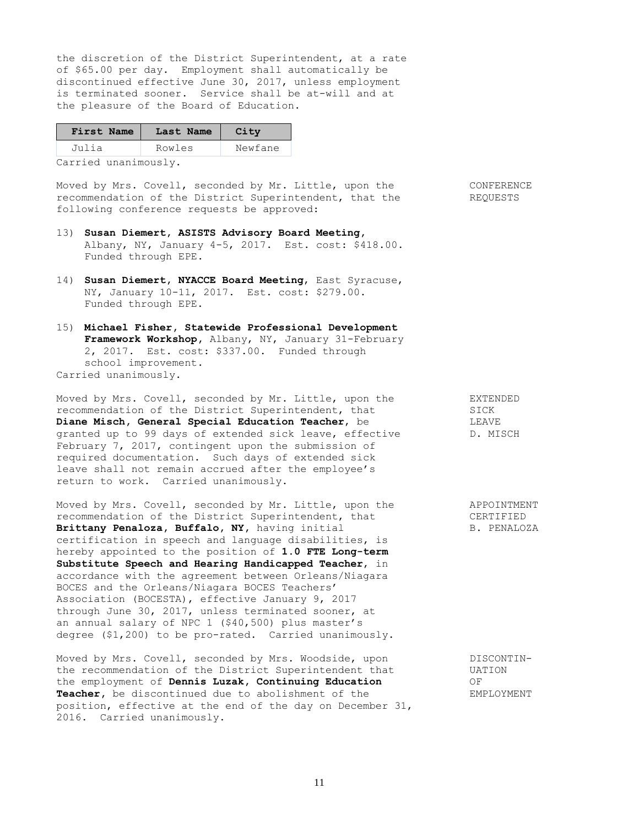the discretion of the District Superintendent, at a rate of \$65.00 per day. Employment shall automatically be discontinued effective June 30, 2017, unless employment is terminated sooner. Service shall be at-will and at the pleasure of the Board of Education.

| First Name                                       | Last Name | City    |
|--------------------------------------------------|-----------|---------|
| Julia                                            | Rowles    | Newfane |
| $\sim$ $\sim$ $\sim$ $\sim$ $\sim$ $\sim$ $\sim$ |           |         |

Carried unanimously.

Moved by Mrs. Covell, seconded by Mr. Little, upon the CONFERENCE recommendation of the District Superintendent, that the REQUESTS following conference requests be approved:

- 13) **Susan Diemert, ASISTS Advisory Board Meeting,** Albany, NY, January 4-5, 2017. Est. cost: \$418.00. Funded through EPE.
- 14) **Susan Diemert, NYACCE Board Meeting**, East Syracuse, NY, January 10-11, 2017. Est. cost: \$279.00. Funded through EPE.
- 15) **Michael Fisher, Statewide Professional Development Framework Workshop,** Albany, NY, January 31-February 2, 2017. Est. cost: \$337.00. Funded through school improvement. Carried unanimously.

Moved by Mrs. Covell, seconded by Mr. Little, upon the EXTENDED recommendation of the District Superintendent, that SICK **Diane Misch, General Special Education Teacher, be ALLAVE LEAVE** granted up to 99 days of extended sick leave, effective D. MISCH February 7, 2017, contingent upon the submission of required documentation. Such days of extended sick leave shall not remain accrued after the employee's return to work. Carried unanimously.

Moved by Mrs. Covell, seconded by Mr. Little, upon the APPOINTMENT recommendation of the District Superintendent, that CERTIFIED Brittany Penaloza, Buffalo, NY, having initial B. PENALOZA certification in speech and language disabilities, is hereby appointed to the position of **1.0 FTE Long-term Substitute Speech and Hearing Handicapped Teacher**, in accordance with the agreement between Orleans/Niagara BOCES and the Orleans/Niagara BOCES Teachers' Association (BOCESTA), effective January 9, 2017 through June 30, 2017, unless terminated sooner, at an annual salary of NPC 1 (\$40,500) plus master's degree (\$1,200) to be pro-rated. Carried unanimously.

Moved by Mrs. Covell, seconded by Mrs. Woodside, upon DISCONTINthe recommendation of the District Superintendent that UATION the employment of **Dennis Luzak, Continuing Education** OF Teacher, be discontinued due to abolishment of the EMPLOYMENT position, effective at the end of the day on December 31, 2016. Carried unanimously.